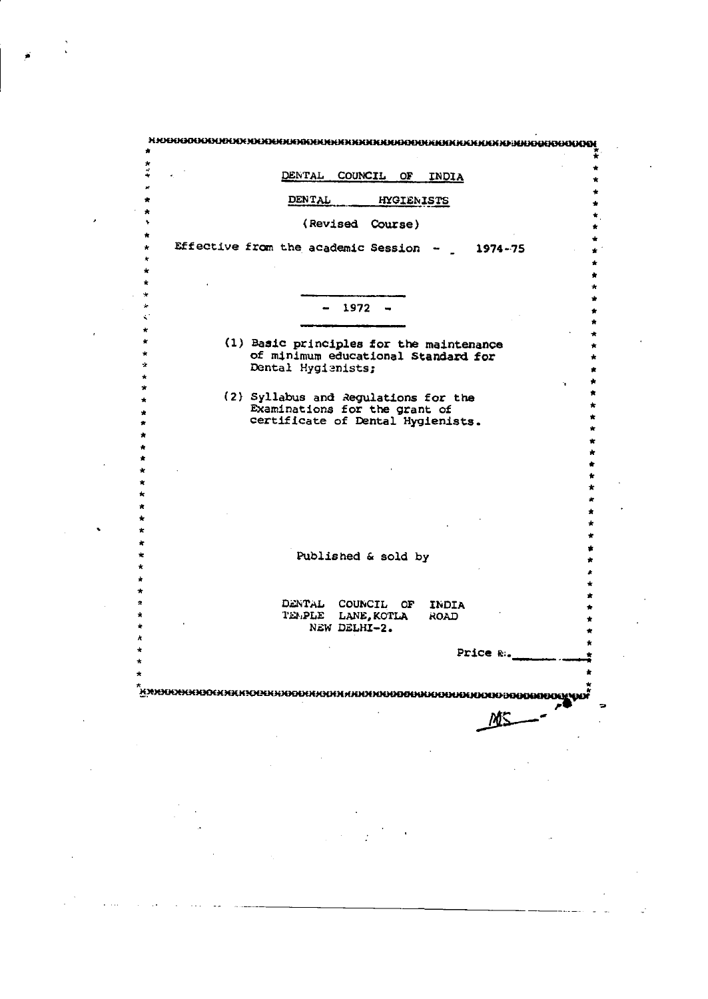| *<br>DENTAL COUNCIL OF<br>INDIA                                                 |   |
|---------------------------------------------------------------------------------|---|
|                                                                                 |   |
| DENTAL<br><b>HYGIENISTS</b>                                                     |   |
| (Revised Course)<br>۰                                                           |   |
| Effective from the academic Session $-$ 1974-75<br>$\star$                      |   |
| ÷<br>÷                                                                          |   |
|                                                                                 |   |
| $1972 -$                                                                        |   |
| ÷                                                                               |   |
| $\star$<br>(1) Basic principles for the maintenance                             | ÷ |
| ÷<br>of minimum educational Standard for<br>*<br>Dental Hygienists;             |   |
| *<br>'n.<br>$\star$                                                             |   |
| (2) Syllabus and Regulations for the<br>$\star$                                 |   |
| Examinations for the grant of<br>certificate of Dental Hygienists.<br>$\bullet$ |   |
|                                                                                 |   |
|                                                                                 |   |
|                                                                                 |   |
|                                                                                 |   |
|                                                                                 |   |
|                                                                                 |   |
| Published & sold by                                                             |   |
|                                                                                 |   |
|                                                                                 |   |
| DENTAL COUNCIL OF<br>INDIA<br>TEMPLE LANE, KOTLA<br><b>ROAD</b>                 |   |
| NEW DELHI-2.                                                                    |   |
| Price &.                                                                        |   |
|                                                                                 |   |
|                                                                                 |   |
| <u> Кикиникниосникноснинизителни започноворнициятор</u>                         |   |
|                                                                                 |   |
|                                                                                 |   |
|                                                                                 |   |
|                                                                                 |   |
|                                                                                 |   |
|                                                                                 |   |
|                                                                                 |   |
|                                                                                 |   |
|                                                                                 |   |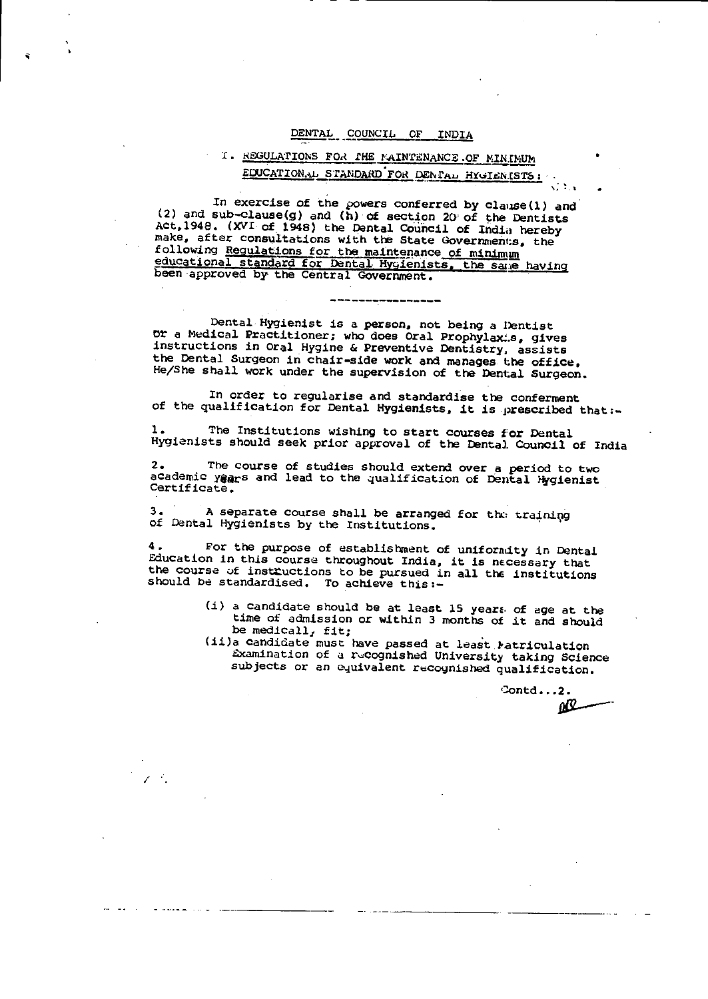#### DENTAL COUNCIL OF INDIA

### I. REGULATIONS FOR THE NAINTENANCE OF MINIMUM EDUCATIONAL STANDARD FOR DENTAL HYGIENISTS:

In exercise of the powers conferred by clause(1) and (2) and sub-clause(g) and (h) of section 20 of the Dentists Act, 1948. (XVI of 1948) the Dental Council of India hereby make, after consultations with the State Governments, the following Regulations for the maintenance of minimum educational standard for Dental Hygienists, the same having been approved by the Central Government.

#### Dental Hygienist is a person, not being a Dentist or a Medical Practitioner; who does Oral Prophylaxis, gives instructions in Oral Hygine & Preventive Dentistry, assists the Dental Surgeon in chair-side work and manages the office. He/She shall work under the supervision of the Dental Surgeon.

In order to regularise and standardise the conferment of the qualification for Dental Hygienists, it is prescribed that :-

The Institutions wishing to start courses for Dental Hygienists should seek prior approval of the Dental Council of India

The course of studies should extend over a period to two  $2.1$ academic yaars and lead to the qualification of Dental Hygienist Certificate.

 $3.$ A separate course shall be arranged for the training of Dental Hygienists by the Institutions.

 $\mathcal{L}^{\mathcal{L}}$ 

For the purpose of establishment of uniformity in Dental Education in this course throughout India, it is necessary that the course of instructions to be pursued in all the institutions should be standardised. To achieve this :-

- (i) a candidate should be at least 15 years of age at the time of admission or within 3 months of it and should be medicall, fit;
- (ii)a candidate must have passed at least Matriculation Examination of a recognished University taking Science subjects or an equivalent recognished qualification.

Contd...2. ŃЩ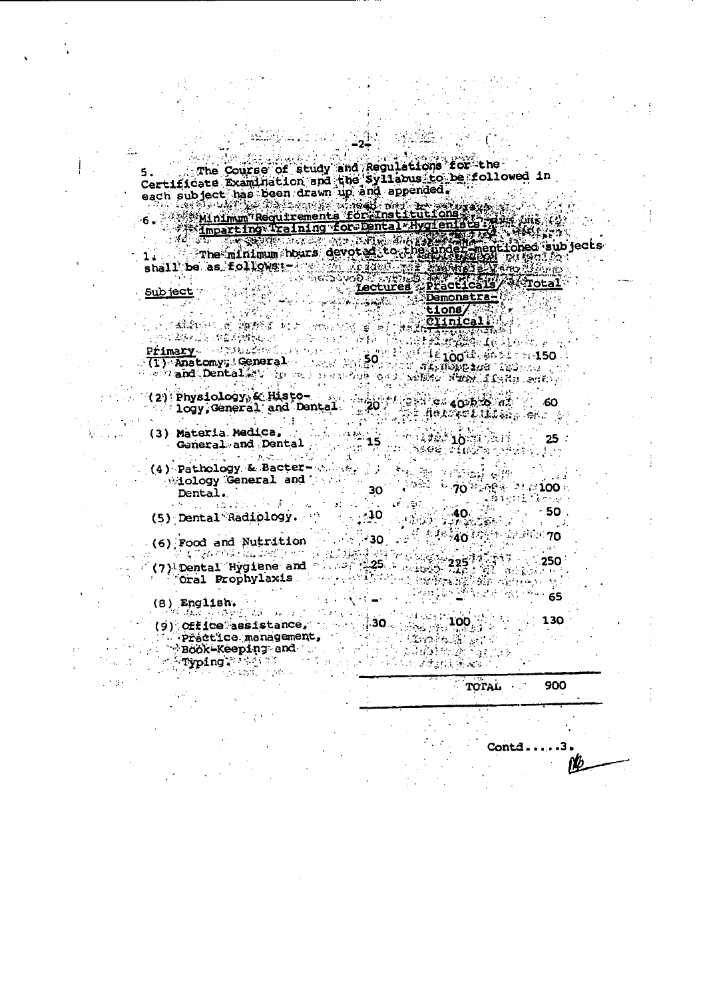5. The Course of study and Regulations for the<br>Certificate Examination and the Syllabus to be followed in<br>each subject has been drawn up and appended;<br>6. Minimum Requirements for institutions and way only

Example of the contract of the property of the contract of the contract of the contract of the contract of the contract of the contract of the contract of the contract of the contract of the contract of the contract of the

Ectures Practicals Subject  $\sim 10^{11}$  $\frac{1}{2}$ ີ່ນ ການເຈົ້າໃຈກໍ່ເປັນທີ່ ໃຫ້ອາຍາທີ່ ໄດ້ມາ ຕາມພິທີເດີນທີ່ ເຮົາໃຈກໍ່<br>ທ່ານ ໄດ້ເພື່ອ ເຈຍໃຊ້ທີ່ໃຫ້ເປັນທີ່ ແລະ ທ່ານ ກ່ຽວໃຈ<br><mark>Primary</mark> ທ່ານ ໃຫ້ອະນຸຊັດຕິທິ ແລະ ແລະ ທ່ານ <sub>ໃຊ</sub>້ງແຕ່ ເ primary a sale computer of the property of the second second to a second property of the second property of the Live and Dental My Spread in the 200 to 20 Million Mind of Rep. 200 . (2) Physiology, & Histo-<br>logy, General and Dental<br>(3) Materia Medica General and Dental  $25 \label{eq:2} \mathcal{L}_{\mathcal{A}}(\mathcal{A}) = \mathcal{L}_{\mathcal{A}}(\mathcal{A}) = \mathcal{L}_{\mathcal{A}}(\mathcal{A}) = \mathcal{L}_{\mathcal{A}}(\mathcal{A}) = \mathcal{L}_{\mathcal{A}}(\mathcal{A}) = \mathcal{L}_{\mathcal{A}}(\mathcal{A})$ Ã (4) Pathology & Bacter-  $\cdots$ 

Miology General and  $\begin{minipage}{.4\linewidth} \textbf{Dentail.} \end{minipage} \begin{minipage}{.4\linewidth} \begin{minipage}{.4\linewidth} \begin{minipage}{.4\linewidth} \begin{tabular}{l} \hline \textbf{1} & \textbf{1} & \textbf{1} & \textbf{1} & \textbf{1} & \textbf{1} & \textbf{1} & \textbf{1} & \textbf{1} & \textbf{1} & \textbf{1} & \textbf{1} & \textbf{1} & \textbf{1} & \textbf{1} & \textbf{1} & \textbf{1} & \textbf{1} & \textbf{1} & \textbf{1} & \textbf{1$  $\sim 10$  $\mathcal{A}^{\bullet}$  ,  $\mathcal{A}^{\bullet}$  , (5) Dental Radiology.  $\alpha = \sqrt{2}$ 

 $\frac{1}{2}$ (6) Food and Nutrition 30, 30, 40, 40, 40, 40, 50, 50, 70 (6) Food and Nutrition<br>(7) Dental Hygiene and  $25$ <br>(7) Dental Hygiene and  $25$ <br>(7) Oral Prophylaxis

ta masa

(8) English.

(9) Office assistance, and ... practice management, Book-Keeping and *<u> Myping Maritimes</u>* 

> TOTAL T 900 **Contd.....3.**

化亚丙酰氨酸乙酯

130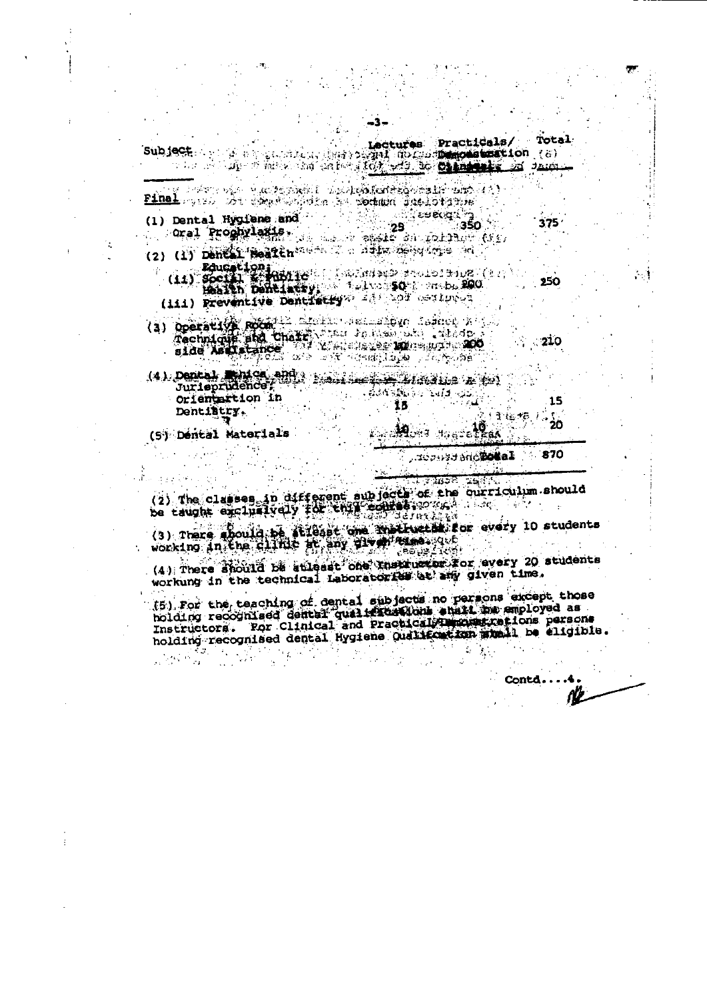Total Lectures Practicals/ Subject **SCR** and the planting the positive in the construction (8)

25

e destre des deux propositions de la participation de la proposition de la p Final west for some office is podded inclorates 11. ີ່ ເອຍເຊີງ<br>ອອ

(1) Dental Hygiene and l, oral Proghylaxis, da and spate an initial (is)

(2) (1) Denear Beaten and the designation of

(11) Boute Lion (2) (2) Social Section 1998 250

(111) Freventive Dentiscry 28 33 on Luc

210

 $(4)$  Dental Entre and random  $\overline{A}$  such and  $\overline{A}$ Orientartion in 15. Dentibury.  $\mathbb{R}^2$ 

(S) Dental Materials

Acoustanceses. ∴ 870

**Most tearetheas** 

 $375<sub>1</sub>$ 

 $15$ 

חל

(2) The classes in different subjects of the ourriculum should<br>be taught exclusively for the sometime and the corriculum should

(3) There about a structure we have been every 10 students

<sub>ۄ</sub>ڿۯ<sub>ٵ</sub>ڿ؋<sub>ٚۼ</sub> (4) There should be stileast one there exercise every 20 students workung in the technical Laboratories at any given time.

(5) For the teaching of dental subjects no persons except those<br>holding recognized dental qualities (long shall be amployed as Instructors. For Clinical and Practical Theoretical based on persons holding recognised dental Hygiene Qualitection stable be eligible.  $\gamma_{\vec{k}}$ 

Contd.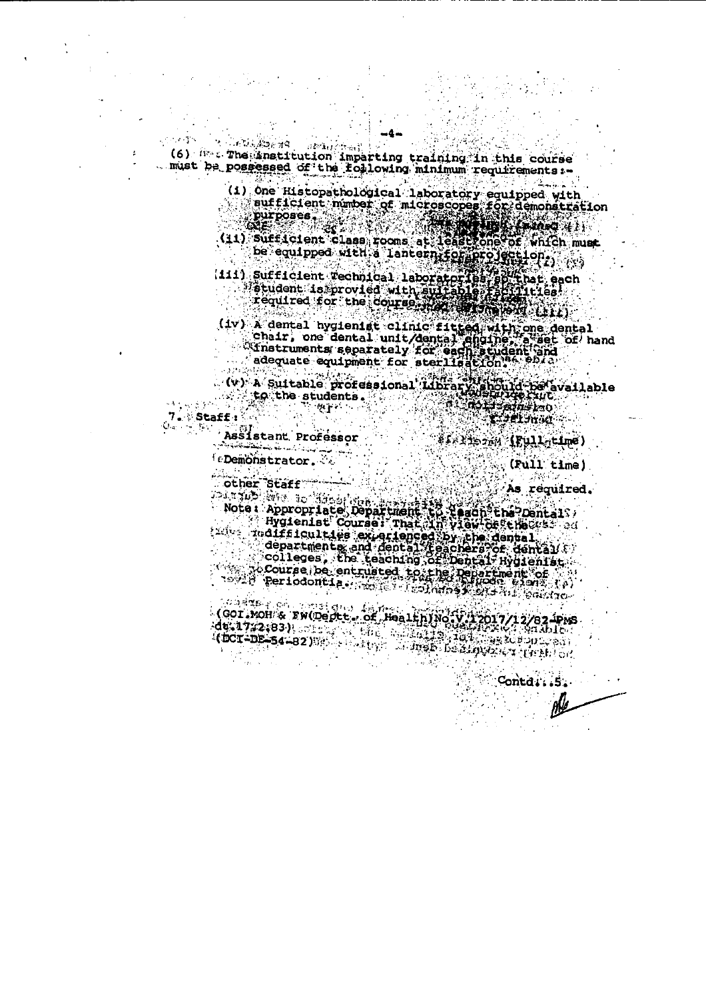97 V.C  $12.23.11$ (6) free The anatitution imparting training in this course . must be possessed of the following minimum requirements :-

> (1) One Histopathological laboratory equipped with sufficient number of microscopes for demonstration<br>purposes :<br>(11) Sufficient class rooms at least one of which must

be equipped with a lantern for projection.

(111) sufficient vechnical laboratories application<br>etudent is provied with suffabile fact lites!<br>fequired for the course application

(iv) a dental hygienist clinic fitted with one dental<br>chair, one dental unit/dental supplier a set of hand<br>"Instruments separately for each student Poid"

(v) A Suitable professional Library, should be available<br>to the students.<br>fractional contraction of the students of the students of the students.

 $7.$  Staff:  $Q_{\rm eff}$  .  $\sim 5\%$ 

 $\mathcal{N} \sim 10$ 

 $\mathcal{L} \subset \mathcal{L} \times \mathcal{L}$  .

Assistant Professor وأستهدأ واستدمته متسامعتك فالمحامدة

feDemonstrator.

 $\frac{1}{2}$   $\frac{1}{2}$   $\frac{1}{2}$   $\frac{1}{2}$   $\frac{1}{2}$   $\frac{1}{2}$   $\frac{1}{2}$   $\frac{1}{2}$   $\frac{1}{2}$   $\frac{1}{2}$   $\frac{1}{2}$   $\frac{1}{2}$   $\frac{1}{2}$   $\frac{1}{2}$   $\frac{1}{2}$   $\frac{1}{2}$   $\frac{1}{2}$   $\frac{1}{2}$   $\frac{1}{2}$   $\frac{1}{2}$   $\frac{1}{2}$   $\frac{1}{2}$ 

(Full time)

Contd: 5.

As required.

other staff<br>As required<br>Note: Appropriate Department to teach?the?Dental?

departments exigting by the dental (  $\hat{C}$  ,  $\hat{C}$ 

COT NOH & FW(Deptt) of Health) Noty 12017/12/82-PMS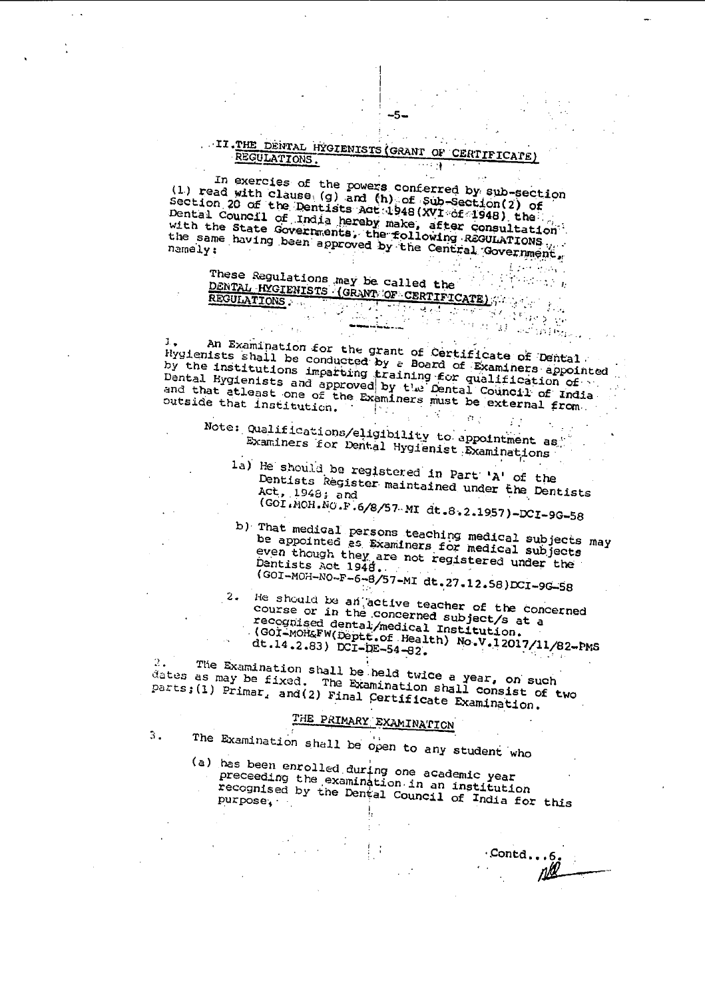#### II. THE DENTAL HYGIENISTS (GRANT OF CERTIFICATE) REGULATIONS.

-5-

In exercies of the powers conferred by sub-section (1) read with clause (g) and (h) of Sub-Section (2) of<br>Section 20 of the Dentists Act 1948 (XVI of 1948) the Dental Council of India hereby make, after consultation with the State Governments, the following ReGULATIONS the same having been approved by the Central Government,

 $L$  and  $\sim 10^{11}$  . These Regulations may be called the These regulations (GRANT OF CERTIFICATE) <u>genoaktek kokum</u>ator (d. 1871)<br>1913 - Gert Britain, de Afrika kokumator<br>1920 - Jack Portugal, alemaniar (d. 189 के देखें हैं।<br>जन्म

An Examination for the grant of Certificate of Dental а. Hygienists shall be conducted by a Board of Examiners appointed by the institutions imparting training for qualification of and that atleast one of the Examiners must be external from.

Note: Qualifications/eligibility to appointment as Examiners for Dental Hygienist Examinations

- 1a) He should be registered in Part 'A' of the Dentists Register maintained under the Dentists Act, 1948; and (GOI.MOH.NO.F.6/8/57 MI dt.8.2.1957)-DCI-9G-58
- b) That medical persons teaching medical subjects may be appointed as Examiners for medical subjects even though they are not registered under the Dentists Act 1948. (GOI-MOH-NO-F-6-8/57-MI dt.27.12.58)DCI-9G-58

He should be an active teacher of the concerned  $2.$ course or in the concerned subject/s at a recognised dental/medical Institution. (GOI-MOH&FW(Deptt.of Health) No.V.12017/11/82-PMS dt.14.2.83) DCI-DE-54-82.

The Examination shall be held twice a year, on such dates as may be fixed. The Examination shall consist of two parts; (1) Primar, and (2) Final Certificate Examination.

## THE PRIMARY EXAMINATION

 $3.$ 

The Examination shall be open to any student who

(a) has been enrolled during one academic year preceeding the examination in an institution recognised by the Dental Council of India for this purpose.

Contd...6.<br> $\mu$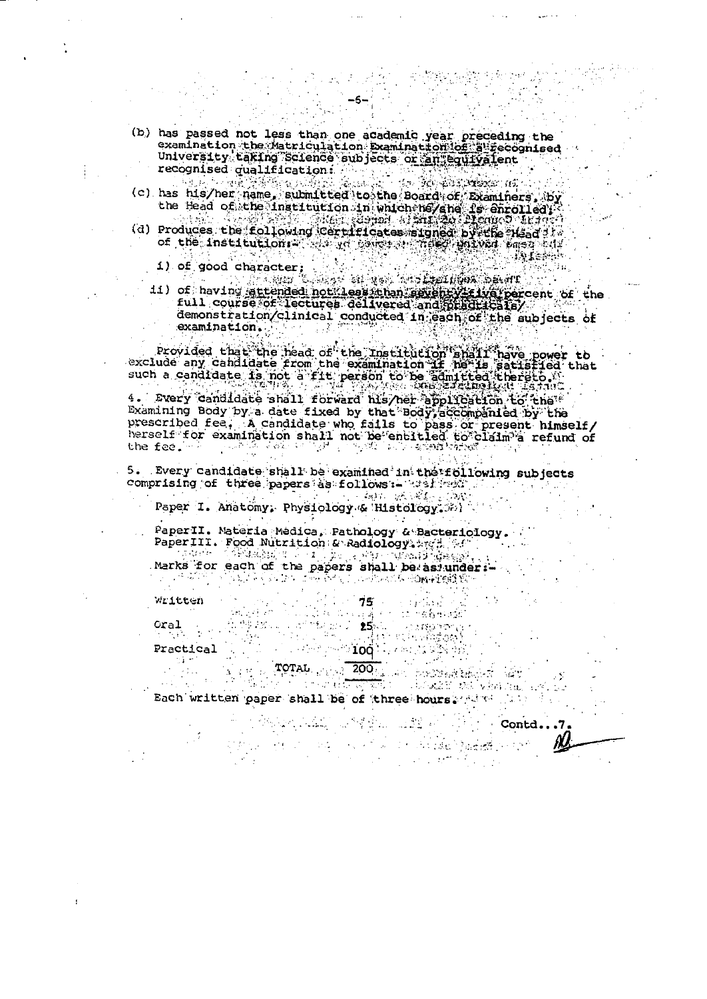- (b) has passed not less than one academic year preceding the examination the Matriculation Examination (of a Fecognised<br>University taking Science subjects or an equivalent recognised qualification:
- l tha The Library and the 铁酸铁制油 المواطنة وأهاراه (c) has his/her name, submitted to the Board of Examiners, by<br>the Head of the institution in which he/she is enrolled;<br>(d) Produces the following certificates signed by the Head if
- -

1) of good character;<br>
11) of having attended not least than seven y't lwa percent of the<br>
full course of lectures delivered and principle (216) demonstration/clinical conducted in each of the subjects of examination. Series Suite<br>Series Suite

ting.

**JALEMAN** 

Provided that the head of the Institution and I have power to<br>exclude any candidate from the examination if hells satisfied that<br>such a candidate is not a fit person to be admitted thereto.

4. Every candidate shall forward his/her application to the prescribed fee, A candidate who fails to pass or present himself/ herself for examination shall not be entitled to claim a refund of the fee. a sa salah 19.<br>Manazarta

5. Every candidate shall be examined in the following subjects comprising of three papers as follows:- wellow . 1. 有机、水泥、

Paper I. Anatomy, Physiology & Histology, 30)

PaperII. Materia Medica, Pathology & Bacteriology. PaperIII. Food Nutrition: & Radiology. 2773.

Marks for each of the papers shall be as under: -

 $\alpha = \frac{1}{2}$ 

Written

Oral

 $\sim 10$  .

 $\mathcal{M}^{\mathcal{A}}$  and  $\mathcal{M}^{\mathcal{A}}$ stine berefer h na ast  $\mathcal{L}^{\text{st}}(\mathcal{D},\mathcal{D}) \cong \mathbf{25} \mathcal{L}.$ **KONSTRUCT**  $\mathbb{Z}^2_{1,2}$  $\mathcal{M}(\mathcal{A})$ in vindowi

 $\sim$   $\sim$   $100$   $\sim$ Practical 图解

200<sub>0</sub> - Johann Mort Wil TOTAL REAL र्फ प्रेस के साथ संस्कृत के साथ संस्कृत and the collection of version in

 $\sim$ 

 $\mathcal{L}_{\rm{eff}}$ 

Each written paper shall be of three hours. All the

Part of

 $\mathcal{L}_{\rm{max}}$ 

ang menyerah di makali dan pada dalam pada

With an experience of  $\mathsf{Cond}_\bullet, .7$ .

a na sinai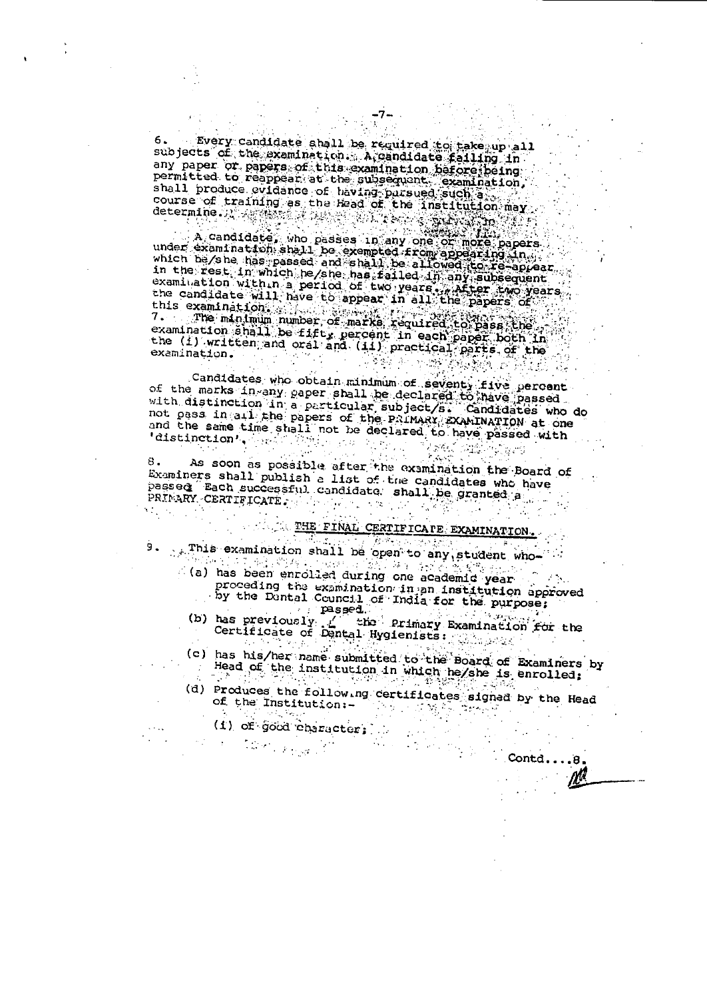Every candidate shall be required to take up all 6. subjects of the examination. A gandidate failing in any paper or papers of this examination before being permitted to reappear at the subsequent examination, 

A candidate, who passes in any one of more papers A Cappure and One Peece, One of Light and A cappure and A cappure and A cappure and A cappure and A cappure and A cappure and A cappure and A cappure and A cappure and A cappure and A cappure and A cappure and A cappure an in the rest in which he/she has failed in any subsequent<br>examination with n a period of two years, whiter two years<br>the candidate will have to appear in all the papers of this examination. 7. The minimum number of marks required to pass the examination shall be fifty percent in each paper both in the (i) written and oral and (ii) practical parts of the examination.

Candidates who obtain minimum of seventy five percent<br>of the marks in any caper shall be declared to have passed<br>with distinction in a particular subject/s. Candidates who do not pass in all the papers of the PRIMARY EXAMINATION at one and the same time shall not be declared to have passed with 'distinction', here 这些人就是

 $\mathcal{F}(\mathcal{L}_\mathcal{G},\mathcal{L})$ As soon as possible after the examination the Board of 8. Examiners shall publish a list of the candidates who have passed Each successful candidate shall be granted a

### **EHE FINAL CERTIFICATE EXAMINATION**

- This examination shall be open to any student who 9.
	- proceding the examination in an institution approved
		- by the Dental Council of India for the purpose;  $_{\rm{p}}$   $_{\rm{p}}$   $_{\rm{p}}$   $_{\rm{p}}$   $_{\rm{p}}$   $_{\rm{p}}$
	- (b) has previously ( the Primary Examination for the Certificate of Dental Hygienists:
	- (c) has his/her name submitted to the Board of Examiners by Head of the institution in which he/she is enrolled;
	- (d) Produces the following certificates signed by the Head of the Institution:-医正常精神病
		- (1) of good character; ...

 $\mathcal{L}_{\text{max}}$ 

 $\text{Cond} \ldots 8$ .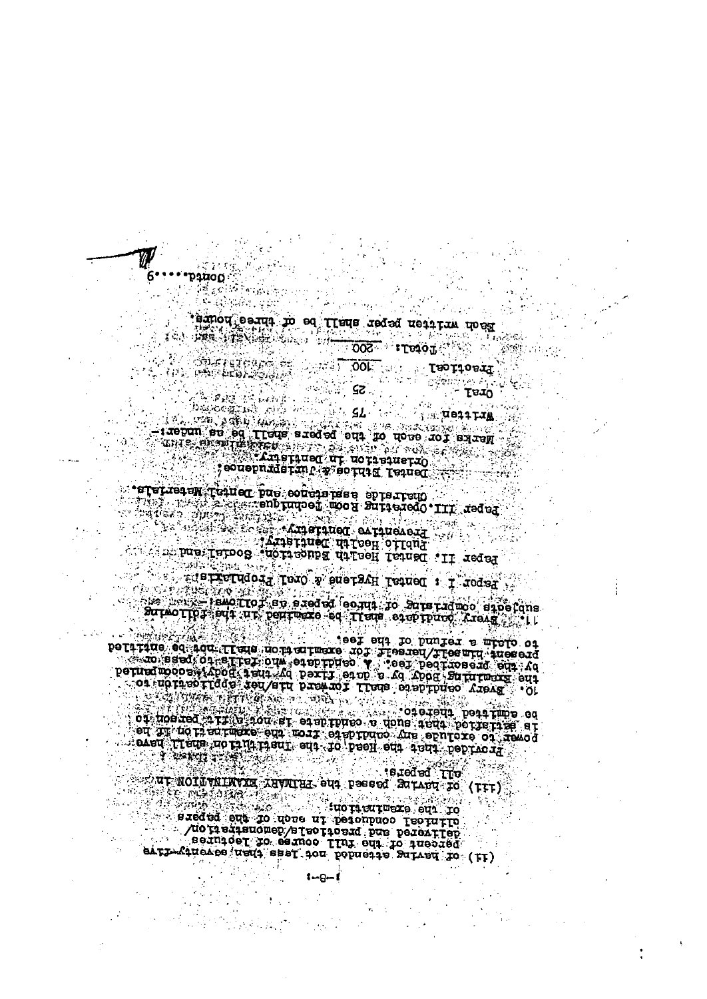exploration of the contract of the second of the property of the second of the second of the second of the second of the second of the second of the second of the second of the second of the second of the second of the sec

 $1 - 9 - 1$ 

 $\sim$  is red ed . Like ur NOTūvkLNVXH Xuvnius eus pesses SarAru 70 (FFF)

The main the inclusion in the set of a resolution of the contract of the set of  $\alpha$  resolution in the set of  $\alpha$  resolution in the set of  $\alpha$  resolution in the set of  $\alpha$  resolution in the set of  $\alpha$  resolution in th

**Second Company Company Company Company Company Company Company Company Company Company Company Company Company** 

The Control of Control Control Control Surmorfor edition and of earth to Sure raduoo sinofans<br>Surmorfor editure pentuscie so Trene easerpinoo Areas estill

**REAL SALE** 

i i Firen - 安然感到

 $\sqrt{7}$  ) of  $\frac{1}{3}$ .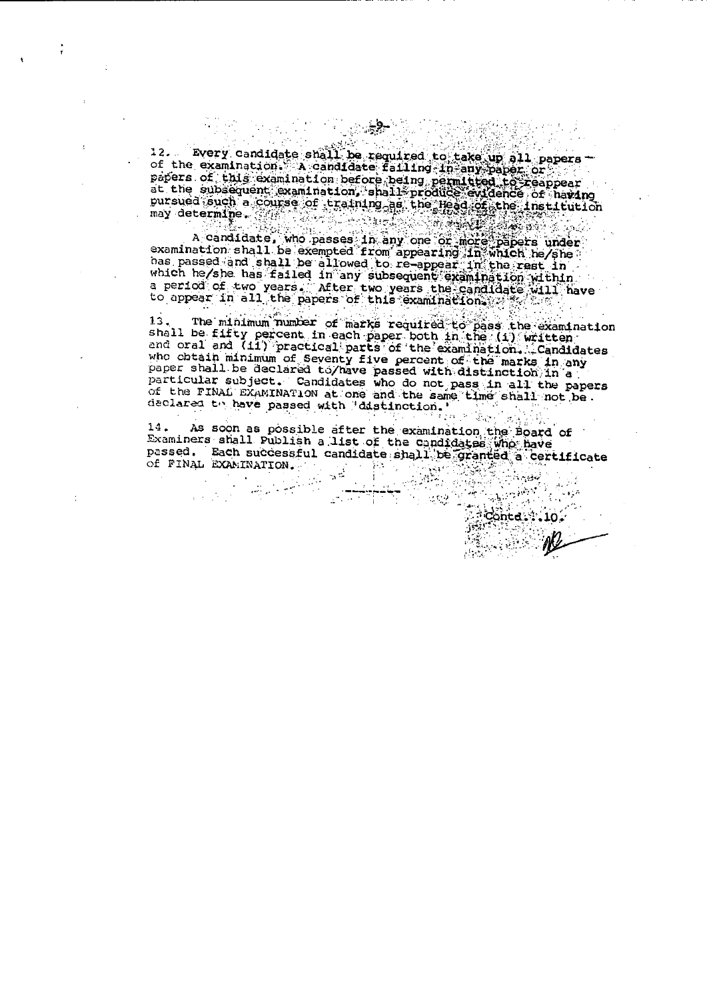12. Every candidate shall be required to take up all papers of the examination. A candidate falling in any paper of the papers of this examination before being permitted to reappear<br>at the subsequent examination, shall produce evidence of having

at the subsequent examination, shall produce exidence of having<br>pursued such a course of training as the Head of the institution<br>may determine.<br>A candidate, who passes in any one of more papers under<br>examination shall be a

The minimum number of marks required to pass the examination  $13.$ shall be fifty percent in each paper both in the (1) witten shall be littly percent in each paper your antition, the system and oral and (11) practical parts of the examination. Candidates who obtain minimum of Seventy five percent of the marks in any paper shall be declared to/hav particular subject. Candidates who do not pass in all the papers<br>of the FINAL EXAMINATION at one and the same time shall not be. declared to have passed with 'distinction.' Agus

14. As soon as possible after the examination the Board of Examiners shall Publish a list of the candidates who have passed. Each successful candidate shall be granted a certificate Of FINAL EXAMINATION. - 新元  $\frac{1}{2}$ أأتملهم

 $\mathbf{H}^{\text{int}}$ 

 $\mathbb{R}^2$ an <del>control</del>

 $\label{eq:1} \frac{1}{\sqrt{2\pi}}\sum_{\alpha\in\mathbb{Z}}\frac{1}{\sqrt{2\pi}}\sum_{\alpha\in\mathbb{Z}}\frac{1}{\sqrt{2\pi}}\sum_{\alpha\in\mathbb{Z}}\frac{1}{\sqrt{2\pi}}\sum_{\alpha\in\mathbb{Z}}\frac{1}{\sqrt{2\pi}}\sum_{\alpha\in\mathbb{Z}}\frac{1}{\sqrt{2\pi}}\sum_{\alpha\in\mathbb{Z}}\frac{1}{\sqrt{2\pi}}\sum_{\alpha\in\mathbb{Z}}\frac{1}{\sqrt{2\pi}}\sum_{\alpha\in\mathbb{Z}}\frac{1}{\sqrt{2\pi}}\$ 

 $\frac{1}{10}$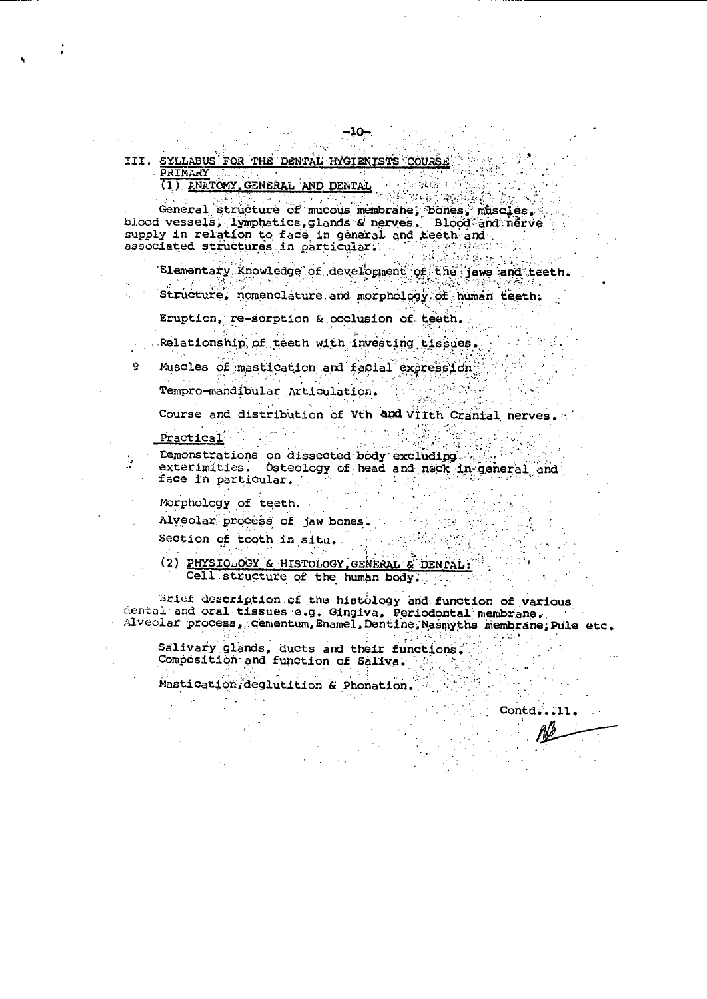III. SYLLABUS FOR THE DENTAL HYGIENISTS COURSE PRIMARY TELEVISION PRIMARY<br>(1) ANATOMY, GENERAL AND DENTAL

General structure of mucous membrane; bones, muscles,

Elementary Knowledge of development of the jaws and teeth.

Structure, nomenclature and morphology of human teeth.

Eruption, re-sorption & occlusion of teeth.

Relationship of teeth with investing tissues.

Muscles of mastication and facial excression 9. Tempro-mandibular Articulation.

Course and distribution of Vth and VIIth Cranial nerves.

<u> 대학 활</u>용된

熱水素

Practical

Demonstrations on dissected body excluding. exterimities. Osteology of head and neck in general and face in particular.

**Control of the Agent** 

Morphology of teeth.

 $\label{eq:2.1} \mathcal{L}_{\mathcal{A}}(x) = \mathcal{L}_{\mathcal{A}}(x) + \mathcal{L}_{\mathcal{A}}(x)$ 

Alveolar process of jaw bones.

Section of tooth in situ.

(2) PHYSIQ OGY & HISTOLOGY, GENERAL & DENTAL: Cell structure of the human body.

Brief description of the histology and function of various dental and oral tissues e.g. Gingiva, Periodontal membrane. Alveolar process, cementum, Enamel, Dentine, Nasmyths membrane, Pule etc.

e greve S Salivary glands, ducts and their functions. Composition and function of Saliva.

Mastication, deglutition & Phonation.

Contd...11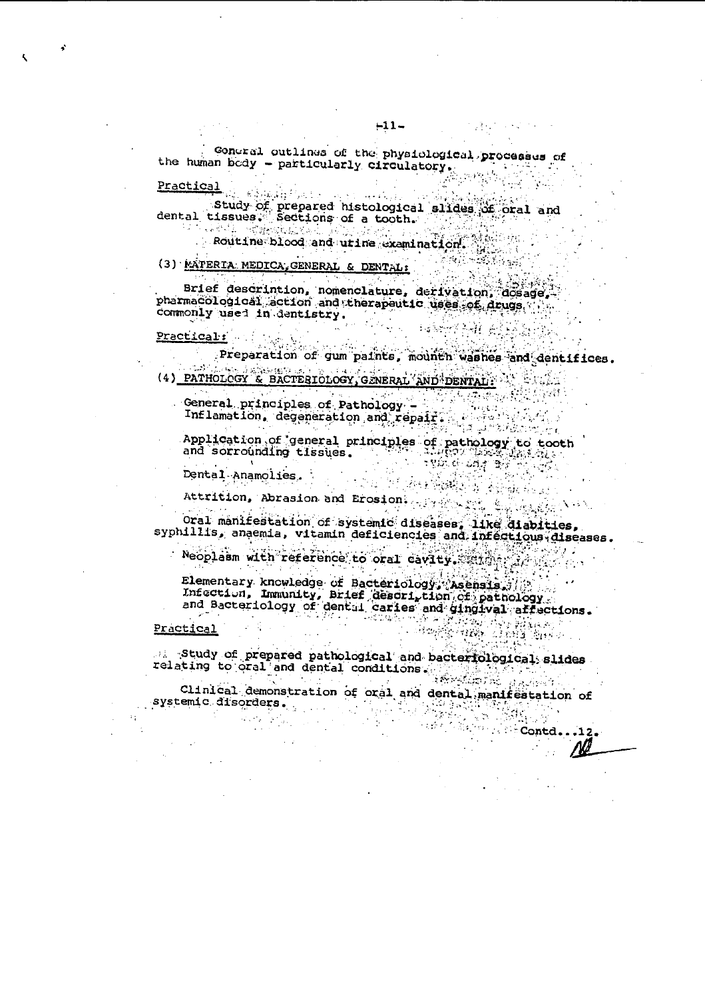concral outlines of the physiological processes of the human body - particularly circulatory.

Practical<br>Study of prepared histological slides of oral and<br>dental tissues. Sections of a tooth.

Routine blood and utine examination

#### (3) MATERIA MEDICA, GENERAL & DENTAL:

Brief descrintion, nomenclature, derivation, dosage, pharmaCological action and therapeutic uses of drugs in commonly used in dentistry. 一场的传真性 经

# Practical: Williams

Preparation of gum paints, mounth washes and dentifices. (4) PATHOLOGY & BACTESIOLOGY, GENERAL AND DENTAL:

 $\mathbf{v} = \mathbf{v} \times \mathbf{v}$  .  $\mathbf{v} = \mathbf{v}$ 

General principles with and repair. A communication

Application of general principles of pathology to tooth<br>and sorrounding tissues.

Dental Anamolies.

Attrition, Abrasion and Erosion. The state there

Oral manifestation of systemic diseases, like diabities,<br>syphillis, anaemia, vitamin deficiencies and infectious diseases.

Neoplasm with reference to oral cavity. All property

Elementary knowledge of Bacteriology, Asensia, Elementary knowledge of Batterior of Datition of Dathology<br>Infection, Immunity, Brief Gescription of Dathology<br>and Bacteriology of dental carles and gingival affections.

#### Practical

 $\mathbf{r}(\mathbf{r})$ 

Study of prepared pathological and bacteriological slides relating to oral and dental conditions. AT SANG ANG KABUPATÈN SA PANG-ANG PANG-ANG PANG-ANG PANG-ANG PANG-ANG PANG-ANG PANG-ANG PANG-ANG PANG-ANG PANG<br>Pang-anggal pang pang-anggal pang-anggal pang-anggal pang pang-anggal pang pang-anggal pang pang-anggal pang p

Clinical demonstration of oral and dental manifestation of systemic disorders. The first disc support of the systemic disorders.<br>All the systemic disorders

**Allegal Contd.** 12

 $\mathcal{F}(\mathcal{A})$  , and  $\mathcal{F}(\mathcal{A})$ 

**1. 不拘证 - 35 科技**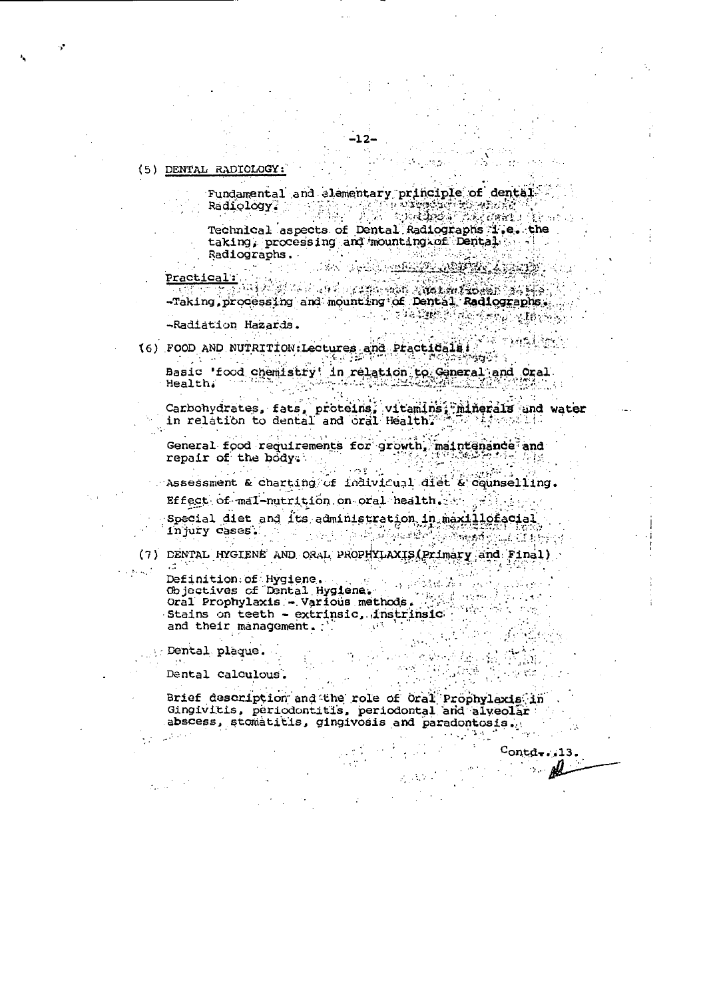#### (5) DENTAL RADIOLOGY:

Fundamental and elementary principle of dental Radiology? The South of the President Research

Technical aspects of Dental Radiographs 1.e. the taking, processing and mounting of Dental Radiographs. DA DALI REKOLISIONIS

Practical: De Partie de la companya alla partie de la partie -Taking, processing and mounting of Dental Radiographs. -Radiation Hazards.

(6) FOOD AND NUTRITION: Lectures and Practicals (3) os randism Basic 'food chemistry' in relation to General and Oral

Health. - 4 한국의 고도(주변) Carbonydrates, fats, proteins, vitamins, minerals and water<br>in relation to dental and oral Health, the contraction

General food requirements for growth, maintenance and repair of the body. alistas en la política de la política de la política de la política de la política de la política de<br>Desdevenimentos de la política de la política de la política de la política de la política de la política de l

Assessment & charting of individual diet & counselling. Effect of mal-nutrition on oral health.  $\mathcal{A} \subset \mathcal{A}$ 

Special diet and its administration in maxillofacial injury cases. - A

(7) DENTAL HYGIENE AND ORAL PROPHYLAXIS (Primary and Final)

 $\sim 20000$ 

Definition.of Hygiene. Definition.of Hygiene.<br>Objectives of Dental Hygiene.<br>Oral Prophylaxis - Various methods.<br>Stains on teath - extrinsic instringic. Stains on teeth - extrinsic, instrinsic. and their management. :

: Dental plaque.

Dental calculous.

Brief description and the role of Oral Prophylaxis in Gingivitis, periodontitis, periodontal and alveolar abscess, stomatitis, gingivosis and paradontosis.

 $\mathcal{L}^{\text{c}}_{\text{c}}(X,Y)$  .

 $\text{Cond}$  =  $\cdot$   $\cdot$  13. ₽

 $\langle \mathcal{M} \rangle$ 

 $\mathcal{L}_{\text{max}}$  ,  $\mathcal{L}_{\text{max}}$ 

(每,表)

en de la provincia<br>Constantino de la provincia del provincia del provincia del provincia del provincia del provincia del provinci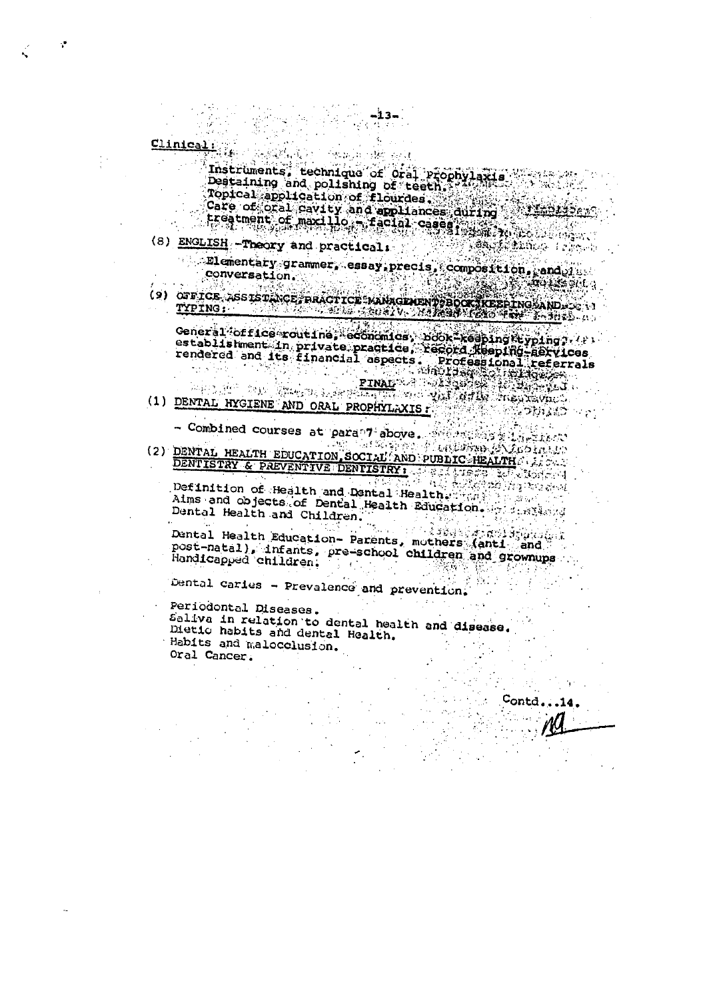Clinical: 化氯氧化铵 经过

Instruments, technique of oral Prophylaxis<br>Destaining and polishing of teeth.<br>Topical application of flourdes. Care of oral cavity and appliances during 

-13-

- (8) ENGLISH Theory and practical: **Teach Marco Teacher**  $\overline{\text{P1}}$  ementary grammer, essay precis, composition, end $\overline{\text{q1}}$ 
	- conversation.  $\mathcal{R}(\mathbb{R})$  )  $\mathcal{R}(\mathbb{R})$  and  $\mathcal{R}(\mathbb{R})$  and
- (9) OFFICE ASSISTINGE PRACTICE MANAGEMENT BOOK KEEPINGAAND.

General office routine, economics, book-keeping terping, ( ) establishment in private practice, record xeeping-services<br>rendered and its financial aspects. Professional referrals<br>PINAL RESERVING AND ORAL PROPHYLAXIS.

- Combined courses at para 7 above. The same of the combined courses at para 7 above. DENTISTRY & PREVENTIVE DENTISTRY.

Definition of Health and Dental Health. (2008) and objects of Dental Health Education. Alms and Contain Dental Health and Children.

Dental Health Education- Parents, mothers (anti- and post-natal), infants, pre-school children and grownups Handicapped children.  $\mathcal{L}^{\text{max}}(\mathcal{L}^{\text{max}})$ EST  $\mathcal{L}_{\rm{max}}$ 

Contd.

Dental caries - Prevalence and prevention.

Periodontal Diseases. Saliva in relation to dental health and disease. Dietic habits and dental Health. Habits and malocolusion. Oral Cancer.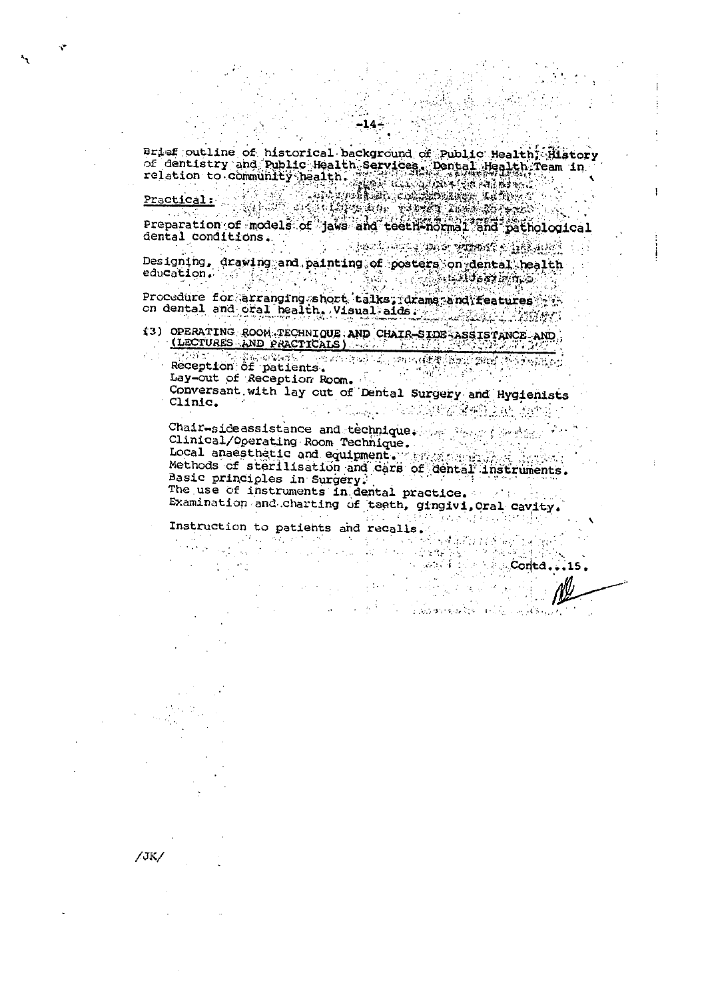Brief outline of historical background of Public Health; History Practical:<br>Practical: Analysis of dentistry and Public Health Services. Dental Health Team in<br>relation to community health.<br>Practical:

-1

 $/$ JK $/$ 

Preparation of models of jaws and teeth normal and pathological dental conditions. A BARTA SALAH SALAH BARA DARI SEBAGAI DAN BARTA DAN BADAN DAN BADA DAN BADA DAN BADA DAN BARTA DAN BADA DAN BA

Designing, drawing and painting of posters on dental health 不可保 education. 高端、 The Advisory 2004年5月

Procedure for arranging short talks; drams and features Procedure roceanisms when Visual aids . The second of the contract of the contract of the contract of the contract of the contract of the contract of the contract of the contract of the contract of the contract of the cont

13) OPERATING ROOM TECHNIQUE AND CHAIR-SIDE ASSISTANCE AND (LECTURES AND PRACTICALS) <u>TELOZOI SPECIFICINE DO</u>

Reception of patients. Sett of the part  $\mathbb{S}\mathrm{int}$ Wikango Lay-out of Reception Room. Conversant with lay out of Dental Surgery and Hygienists Clinic. The Company of the Party of the Company of the Company of the Company of the Company of the Company of the Company of

Chair-sideassistance and technique. The first problem Clinical/Operating Room Technique. Local anaesthetic and equipment.  $\mathcal{L}(\mathcal{A})$ Methods of sterilisation and cars of dental lnstruments. Basic principles in Surgery. The use of instruments in dental practice. Examination and charting of teeth, gingivi, Oral Cavity.

等 人名

a na katika 1999.<br>Tanggal kalendar **Conted** 

المحربي والأكفر ومستسرع المتألف الالالا الأقال والانتقالات

Conta.

 $\Delta \sim 10^{10}$  km s  $^{-1}$ 

2012년 2월 4일 2월 2일 3월 2일 Instruction to patients and recalls. and a stringer (3) 10 mond all years from

**Contract**